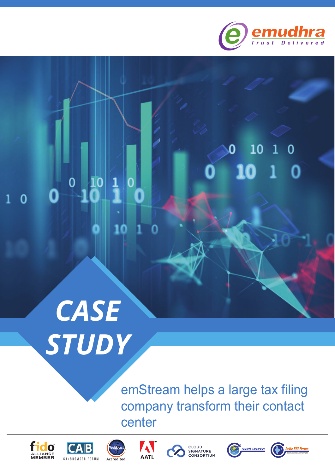

# $10$  1 0

## *CASE STUDY*

 $\frac{1}{1}$ 

10

 $\bf{0}$ 

 $\overline{0}$ 

 $\overline{0}$ 

O

emStream helps a large tax filing company transform their contact center











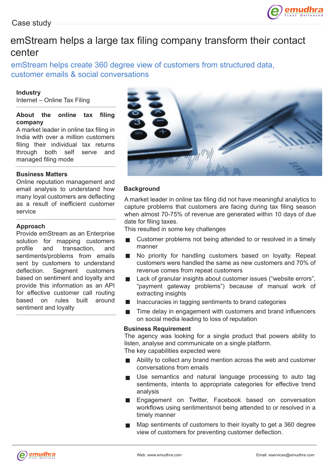

## emStream helps a large tax filing company transform their contact center

emStream helps create 360 degree view of customers from structured data, customer emails & social conversations

#### **Industry**

Internet – Online Tax Filing

#### **About the online tax filing company**

A market leader in online tax filing in India with over a million customers filing their individual tax returns through both self serve and managed filing mode

#### **Business Matters**

Online reputation management and email analysis to understand how many loyal customers are deflecting as a result of inefficient customer service

#### **Approach**

Provide emStream as an Enterprise solution for mapping customers profile and transaction, and sentiments/problems from emails sent by customers to understand deflection. Segment customers based on sentiment and loyalty and provide this information as an API for effective customer call routing based on rules built around sentiment and loyalty



#### **Background**

A market leader in online tax filing did not have meaningful analytics to capture problems that customers are facing during tax filing season when almost 70-75% of revenue are generated within 10 days of due date for filing taxes.

This resulted in some key challenges

- Customer problems not being attended to or resolved in a timely  $\overline{\phantom{a}}$ manner
- No priority for handling customers based on loyalty. Repeat  $\mathcal{L}_{\mathcal{A}}$ customers were handled the same as new customers and 70% of revenue comes from repeat customers
- Lack of granular insights about customer issues ("website errors", "payment gateway problems") because of manual work of extracting insights
- Inaccuracies in tagging sentiments to brand categories П
- Time delay in engagement with customers and brand influencers  $\blacksquare$ on social media leading to loss of reputation

#### **Business Requirement**

The agency was looking for a single product that powers ability to listen, analyse and communicate on a single platform. The key capabilities expected were

Ability to collect any brand mention across the web and customer conversations from emails

- Use semantics and natural language processing to auto tag  $\blacksquare$ sentiments, intents to appropriate categories for effective trend analysis
- Engagement on Twitter, Facebook based on conversation workflows using sentimentsnot being attended to or resolved in a timely manner
- Map sentiments of customers to their loyalty to get a 360 degree view of customers for preventing customer deflection.

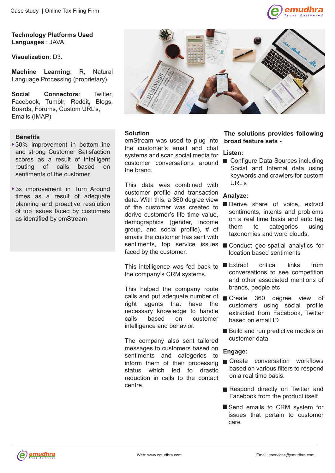

**Technology Platforms Used Languages** : JAVA

**Visualization**: D3.

**Machine Learning**: R, Natural Language Processing (proprietary)

**Social Connectors**: Twitter, Facebook, Tumblr, Reddit, Blogs, Boards, Forums, Custom URL's, Emails (IMAP)

#### **Benefits**

- ▶ 30% improvement in bottom-line and strong Customer Satisfaction scores as a result of intelligent<br>routing of calls based on routing of calls based on sentiments of the customer
- ▶ 3x improvement in Turn Around times as a result of adequate planning and proactive resolution of top issues faced by customers as identified by emStream



#### **Solution**

emStream was used to plug into the customer's email and chat systems and scan social media for customer conversations around the brand.

This data was combined with customer profile and transaction data. With this, a 360 degree view of the customer was created to derive customer's life time value, demographics (gender, income group, and social profile), # of emails the customer has sent with sentiments, top service issues faced by the customer.

This intelligence was fed back to the company's CRM systems.

This helped the company route calls and put adequate number of right agents that have the necessary knowledge to handle calls based on customer intelligence and behavior.

The company also sent tailored messages to customers based on sentiments and categories to inform them of their processing status which led to drastic reduction in calls to the contact centre.

#### **The solutions provides following broad feature sets -**

#### **Listen:**

■ Configure Data Sources including Social and Internal data using keywords and crawlers for custom URL's

#### **Analyze:**

- Derive share of voice, extract sentiments, intents and problems on a real time basis and auto tag them to categories using taxonomies and word clouds.
- Conduct geo-spatial analytics for location based sentiments
- Extract critical links from conversations to see competition and other associated mentions of brands, people etc
- Create 360 degree view of customers using social profile extracted from Facebook, Twitter based on email ID
- Build and run predictive models on customer data

#### **Engage:**

- Create conversation workflows based on various filters to respond on a real time basis.
- Respond directly on Twitter and Facebook from the product itself
- Send emails to CRM system for issues that pertain to customer care